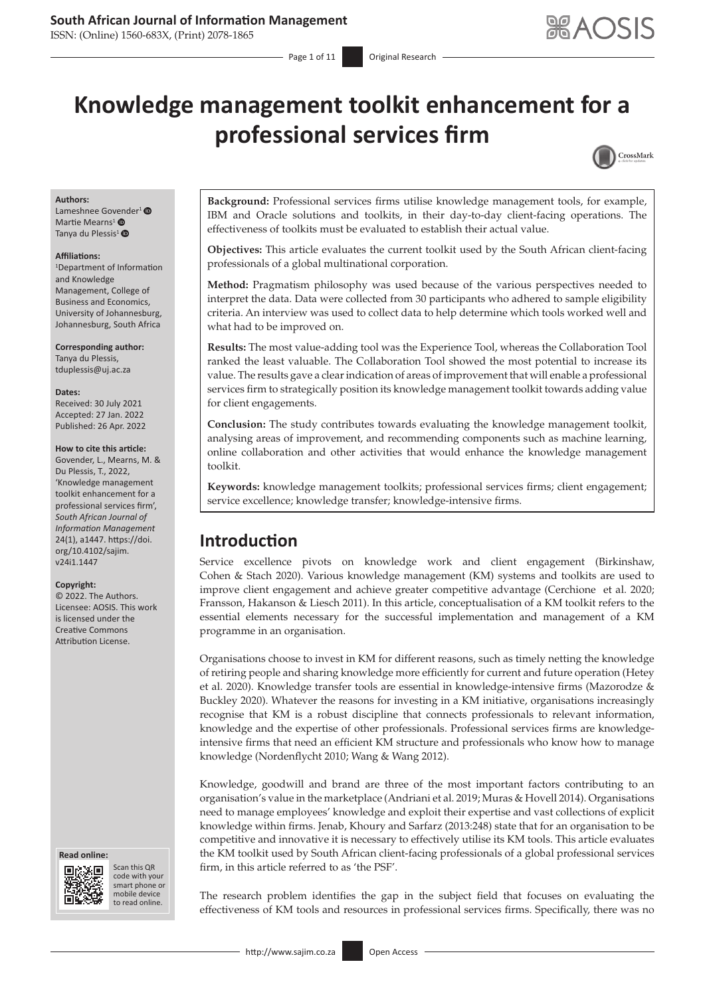### **South African Journal of Information Management**

ISSN: (Online) 1560-683X, (Print) 2078-1865

# **Knowledge management toolkit enhancement for a professional services firm**



#### **Authors:**

Lameshnee Govender<sup>1</sup> <sup>O</sup> Martie Mearns<sup>[1](https://orcid.org/0000-0001-7362-3047)</sup> Tanya du Plessis<sup>1</sup> $\bullet$ 

#### **Affiliations:**

1 Department of Information and Knowledge Management, College of Business and Economics, University of Johannesburg, Johannesburg, South Africa

#### **Corresponding author:**

Tanya du Plessis, [tduplessis@uj.ac.za](mailto:tduplessis@uj.ac.za)

#### **Dates:**

Received: 30 July 2021 Accepted: 27 Jan. 2022 Published: 26 Apr. 2022

#### **How to cite this article:**

Govender, L., Mearns, M. & Du Plessis, T., 2022, 'Knowledge management toolkit enhancement for a professional services firm', *South African Journal of Information Management* 24(1), a1447. [https://doi.](https://doi.org/10.4102/sajim.v24i1.1447) [org/10.4102/sajim.](https://doi.org/10.4102/sajim.v24i1.1447) [v24i1.1447](https://doi.org/10.4102/sajim.v24i1.1447)

#### **Copyright:**

© 2022. The Authors. Licensee: AOSIS. This work is licensed under the Creative Commons Attribution License.





Scan this QR code with your Scan this QR<br>code with your<br>smart phone or<br>mobile device mobile device to read online. to read online.

**Background:** Professional services firms utilise knowledge management tools, for example, IBM and Oracle solutions and toolkits, in their day-to-day client-facing operations. The effectiveness of toolkits must be evaluated to establish their actual value.

**Objectives:** This article evaluates the current toolkit used by the South African client-facing professionals of a global multinational corporation.

**Method:** Pragmatism philosophy was used because of the various perspectives needed to interpret the data. Data were collected from 30 participants who adhered to sample eligibility criteria. An interview was used to collect data to help determine which tools worked well and what had to be improved on.

**Results:** The most value-adding tool was the Experience Tool, whereas the Collaboration Tool ranked the least valuable. The Collaboration Tool showed the most potential to increase its value. The results gave a clear indication of areas of improvement that will enable a professional services firm to strategically position its knowledge management toolkit towards adding value for client engagements.

**Conclusion:** The study contributes towards evaluating the knowledge management toolkit, analysing areas of improvement, and recommending components such as machine learning, online collaboration and other activities that would enhance the knowledge management toolkit.

**Keywords:** knowledge management toolkits; professional services firms; client engagement; service excellence; knowledge transfer; knowledge-intensive firms.

# **Introduction**

Service excellence pivots on knowledge work and client engagement (Birkinshaw, Cohen & Stach 2020). Various knowledge management (KM) systems and toolkits are used to improve client engagement and achieve greater competitive advantage (Cerchione et al. 2020; Fransson, Hakanson & Liesch 2011). In this article, conceptualisation of a KM toolkit refers to the essential elements necessary for the successful implementation and management of a KM programme in an organisation.

Organisations choose to invest in KM for different reasons, such as timely netting the knowledge of retiring people and sharing knowledge more efficiently for current and future operation (Hetey et al. 2020). Knowledge transfer tools are essential in knowledge-intensive firms (Mazorodze & Buckley 2020). Whatever the reasons for investing in a KM initiative, organisations increasingly recognise that KM is a robust discipline that connects professionals to relevant information, knowledge and the expertise of other professionals. Professional services firms are knowledgeintensive firms that need an efficient KM structure and professionals who know how to manage knowledge (Nordenflycht 2010; Wang & Wang 2012).

Knowledge, goodwill and brand are three of the most important factors contributing to an organisation's value in the marketplace (Andriani et al. 2019; Muras & Hovell 2014). Organisations need to manage employees' knowledge and exploit their expertise and vast collections of explicit knowledge within firms. Jenab, Khoury and Sarfarz (2013:248) state that for an organisation to be competitive and innovative it is necessary to effectively utilise its KM tools. This article evaluates the KM toolkit used by South African client-facing professionals of a global professional services firm, in this article referred to as 'the PSF'.

The research problem identifies the gap in the subject field that focuses on evaluating the effectiveness of KM tools and resources in professional services firms. Specifically, there was no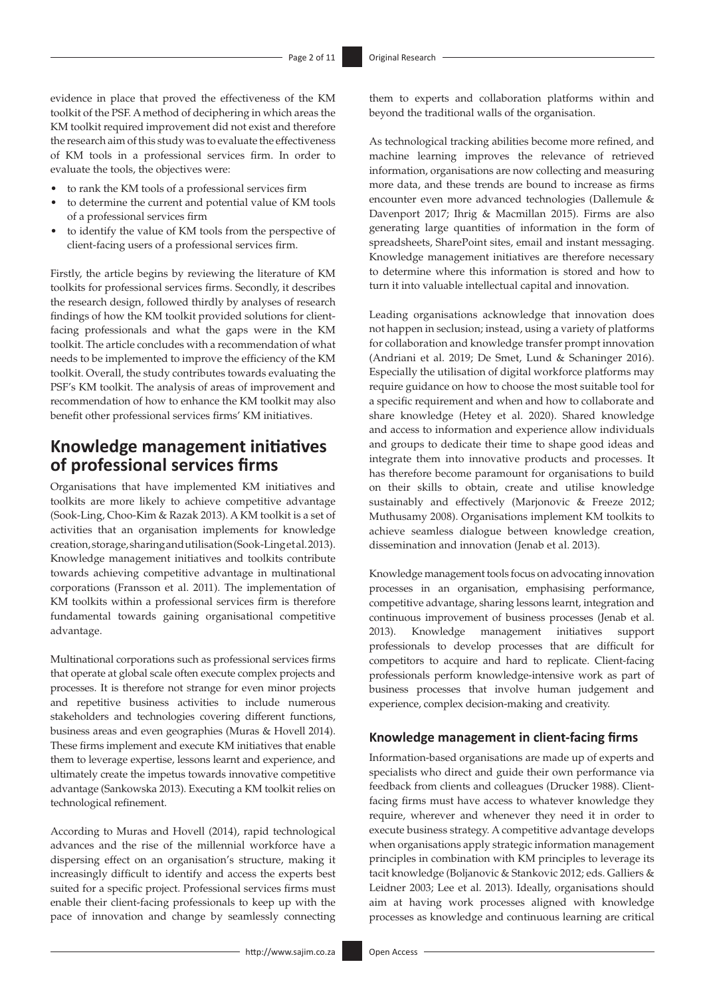evidence in place that proved the effectiveness of the KM toolkit of the PSF. A method of deciphering in which areas the KM toolkit required improvement did not exist and therefore the research aim of this study was to evaluate the effectiveness of KM tools in a professional services firm. In order to evaluate the tools, the objectives were:

- to rank the KM tools of a professional services firm
- to determine the current and potential value of KM tools of a professional services firm
- to identify the value of KM tools from the perspective of client-facing users of a professional services firm.

Firstly, the article begins by reviewing the literature of KM toolkits for professional services firms. Secondly, it describes the research design, followed thirdly by analyses of research findings of how the KM toolkit provided solutions for clientfacing professionals and what the gaps were in the KM toolkit. The article concludes with a recommendation of what needs to be implemented to improve the efficiency of the KM toolkit. Overall, the study contributes towards evaluating the PSF's KM toolkit. The analysis of areas of improvement and recommendation of how to enhance the KM toolkit may also benefit other professional services firms' KM initiatives.

# **Knowledge management initiatives of professional services firms**

Organisations that have implemented KM initiatives and toolkits are more likely to achieve competitive advantage (Sook-Ling, Choo-Kim & Razak 2013). A KM toolkit is a set of activities that an organisation implements for knowledge creation, storage, sharing and utilisation (Sook-Ling etal. 2013). Knowledge management initiatives and toolkits contribute towards achieving competitive advantage in multinational corporations (Fransson et al. 2011). The implementation of KM toolkits within a professional services firm is therefore fundamental towards gaining organisational competitive advantage.

Multinational corporations such as professional services firms that operate at global scale often execute complex projects and processes. It is therefore not strange for even minor projects and repetitive business activities to include numerous stakeholders and technologies covering different functions, business areas and even geographies (Muras & Hovell 2014). These firms implement and execute KM initiatives that enable them to leverage expertise, lessons learnt and experience, and ultimately create the impetus towards innovative competitive advantage (Sankowska 2013). Executing a KM toolkit relies on technological refinement.

According to Muras and Hovell (2014), rapid technological advances and the rise of the millennial workforce have a dispersing effect on an organisation's structure, making it increasingly difficult to identify and access the experts best suited for a specific project. Professional services firms must enable their client-facing professionals to keep up with the pace of innovation and change by seamlessly connecting

them to experts and collaboration platforms within and beyond the traditional walls of the organisation.

As technological tracking abilities become more refined, and machine learning improves the relevance of retrieved information, organisations are now collecting and measuring more data, and these trends are bound to increase as firms encounter even more advanced technologies (Dallemule & Davenport 2017; Ihrig & Macmillan 2015). Firms are also generating large quantities of information in the form of spreadsheets, SharePoint sites, email and instant messaging. Knowledge management initiatives are therefore necessary to determine where this information is stored and how to turn it into valuable intellectual capital and innovation.

Leading organisations acknowledge that innovation does not happen in seclusion; instead, using a variety of platforms for collaboration and knowledge transfer prompt innovation (Andriani et al. 2019; De Smet, Lund & Schaninger 2016). Especially the utilisation of digital workforce platforms may require guidance on how to choose the most suitable tool for a specific requirement and when and how to collaborate and share knowledge (Hetey et al. 2020). Shared knowledge and access to information and experience allow individuals and groups to dedicate their time to shape good ideas and integrate them into innovative products and processes. It has therefore become paramount for organisations to build on their skills to obtain, create and utilise knowledge sustainably and effectively (Marjonovic & Freeze 2012; Muthusamy 2008). Organisations implement KM toolkits to achieve seamless dialogue between knowledge creation, dissemination and innovation (Jenab et al. 2013).

Knowledge management tools focus on advocating innovation processes in an organisation, emphasising performance, competitive advantage, sharing lessons learnt, integration and continuous improvement of business processes (Jenab et al. 2013). Knowledge management initiatives support professionals to develop processes that are difficult for competitors to acquire and hard to replicate. Client-facing professionals perform knowledge-intensive work as part of business processes that involve human judgement and experience, complex decision-making and creativity.

### **Knowledge management in client-facing firms**

Information-based organisations are made up of experts and specialists who direct and guide their own performance via feedback from clients and colleagues (Drucker 1988). Clientfacing firms must have access to whatever knowledge they require, wherever and whenever they need it in order to execute business strategy. A competitive advantage develops when organisations apply strategic information management principles in combination with KM principles to leverage its tacit knowledge (Boljanovic & Stankovic 2012; eds. Galliers & Leidner 2003; Lee et al. 2013). Ideally, organisations should aim at having work processes aligned with knowledge processes as knowledge and continuous learning are critical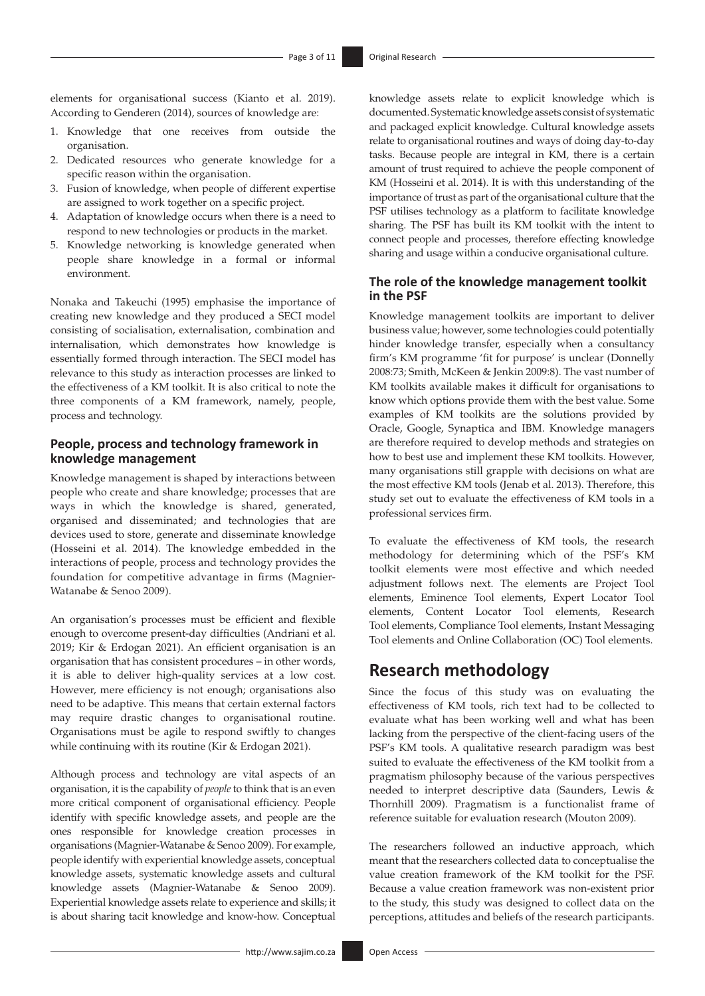elements for organisational success (Kianto et al. 2019). According to Genderen (2014), sources of knowledge are:

- 1. Knowledge that one receives from outside the organisation.
- 2. Dedicated resources who generate knowledge for a specific reason within the organisation.
- 3. Fusion of knowledge, when people of different expertise are assigned to work together on a specific project.
- 4. Adaptation of knowledge occurs when there is a need to respond to new technologies or products in the market.
- 5. Knowledge networking is knowledge generated when people share knowledge in a formal or informal environment.

Nonaka and Takeuchi (1995) emphasise the importance of creating new knowledge and they produced a SECI model consisting of socialisation, externalisation, combination and internalisation, which demonstrates how knowledge is essentially formed through interaction. The SECI model has relevance to this study as interaction processes are linked to the effectiveness of a KM toolkit. It is also critical to note the three components of a KM framework, namely, people, process and technology.

### **People, process and technology framework in knowledge management**

Knowledge management is shaped by interactions between people who create and share knowledge; processes that are ways in which the knowledge is shared, generated, organised and disseminated; and technologies that are devices used to store, generate and disseminate knowledge (Hosseini et al. 2014). The knowledge embedded in the interactions of people, process and technology provides the foundation for competitive advantage in firms (Magnier-Watanabe & Senoo 2009).

An organisation's processes must be efficient and flexible enough to overcome present-day difficulties (Andriani et al. 2019; Kir & Erdogan 2021). An efficient organisation is an organisation that has consistent procedures – in other words, it is able to deliver high-quality services at a low cost. However, mere efficiency is not enough; organisations also need to be adaptive. This means that certain external factors may require drastic changes to organisational routine. Organisations must be agile to respond swiftly to changes while continuing with its routine (Kir & Erdogan 2021).

Although process and technology are vital aspects of an organisation, it is the capability of *people* to think that is an even more critical component of organisational efficiency. People identify with specific knowledge assets, and people are the ones responsible for knowledge creation processes in organisations (Magnier-Watanabe & Senoo 2009). For example, people identify with experiential knowledge assets, conceptual knowledge assets, systematic knowledge assets and cultural knowledge assets (Magnier-Watanabe & Senoo 2009). Experiential knowledge assets relate to experience and skills; it is about sharing tacit knowledge and know-how. Conceptual

knowledge assets relate to explicit knowledge which is documented. Systematic knowledge assets consist of systematic and packaged explicit knowledge. Cultural knowledge assets relate to organisational routines and ways of doing day-to-day tasks. Because people are integral in KM, there is a certain amount of trust required to achieve the people component of KM (Hosseini et al. 2014). It is with this understanding of the importance of trust as part of the organisational culture that the PSF utilises technology as a platform to facilitate knowledge sharing. The PSF has built its KM toolkit with the intent to connect people and processes, therefore effecting knowledge sharing and usage within a conducive organisational culture.

#### **The role of the knowledge management toolkit in the PSF**

Knowledge management toolkits are important to deliver business value; however, some technologies could potentially hinder knowledge transfer, especially when a consultancy firm's KM programme 'fit for purpose' is unclear (Donnelly 2008:73; Smith, McKeen & Jenkin 2009:8). The vast number of KM toolkits available makes it difficult for organisations to know which options provide them with the best value. Some examples of KM toolkits are the solutions provided by Oracle, Google, Synaptica and IBM. Knowledge managers are therefore required to develop methods and strategies on how to best use and implement these KM toolkits. However, many organisations still grapple with decisions on what are the most effective KM tools (Jenab et al. 2013). Therefore, this study set out to evaluate the effectiveness of KM tools in a professional services firm.

To evaluate the effectiveness of KM tools, the research methodology for determining which of the PSF's KM toolkit elements were most effective and which needed adjustment follows next. The elements are Project Tool elements, Eminence Tool elements, Expert Locator Tool elements, Content Locator Tool elements, Research Tool elements, Compliance Tool elements, Instant Messaging Tool elements and Online Collaboration (OC) Tool elements.

# **Research methodology**

Since the focus of this study was on evaluating the effectiveness of KM tools, rich text had to be collected to evaluate what has been working well and what has been lacking from the perspective of the client-facing users of the PSF's KM tools. A qualitative research paradigm was best suited to evaluate the effectiveness of the KM toolkit from a pragmatism philosophy because of the various perspectives needed to interpret descriptive data (Saunders, Lewis & Thornhill 2009). Pragmatism is a functionalist frame of reference suitable for evaluation research (Mouton 2009).

The researchers followed an inductive approach, which meant that the researchers collected data to conceptualise the value creation framework of the KM toolkit for the PSF. Because a value creation framework was non-existent prior to the study, this study was designed to collect data on the perceptions, attitudes and beliefs of the research participants.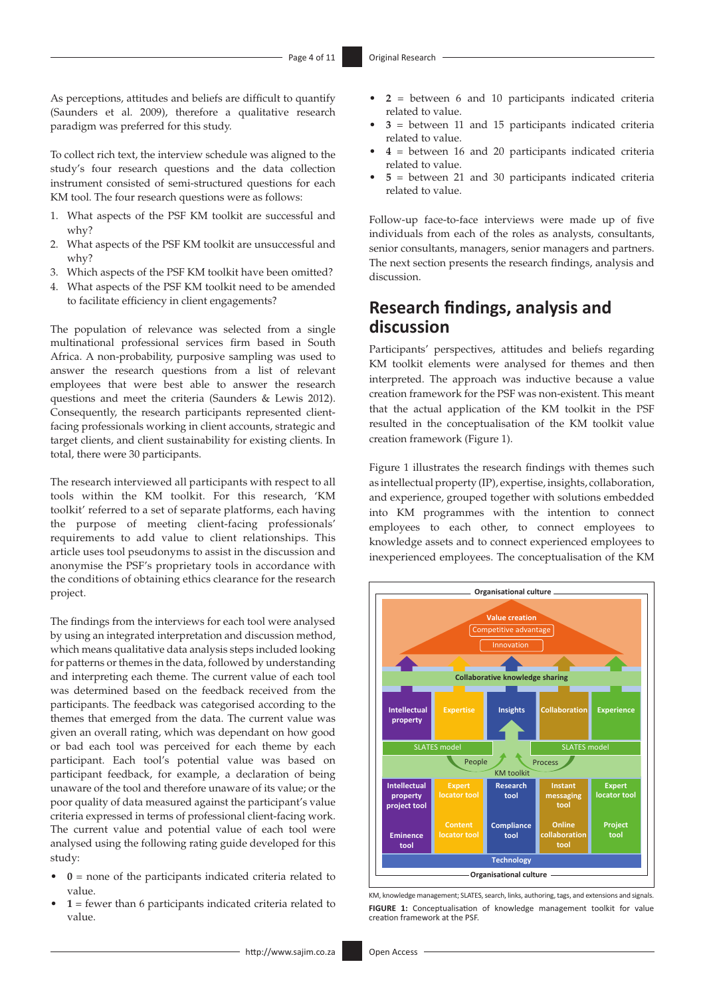As perceptions, attitudes and beliefs are difficult to quantify (Saunders et al. 2009), therefore a qualitative research paradigm was preferred for this study.

To collect rich text, the interview schedule was aligned to the study's four research questions and the data collection instrument consisted of semi-structured questions for each KM tool. The four research questions were as follows:

- 1. What aspects of the PSF KM toolkit are successful and why?
- 2. What aspects of the PSF KM toolkit are unsuccessful and why?
- 3. Which aspects of the PSF KM toolkit have been omitted?
- 4. What aspects of the PSF KM toolkit need to be amended to facilitate efficiency in client engagements?

The population of relevance was selected from a single multinational professional services firm based in South Africa. A non-probability, purposive sampling was used to answer the research questions from a list of relevant employees that were best able to answer the research questions and meet the criteria (Saunders & Lewis 2012). Consequently, the research participants represented clientfacing professionals working in client accounts, strategic and target clients, and client sustainability for existing clients. In total, there were 30 participants.

The research interviewed all participants with respect to all tools within the KM toolkit. For this research, 'KM toolkit' referred to a set of separate platforms, each having the purpose of meeting client-facing professionals' requirements to add value to client relationships. This article uses tool pseudonyms to assist in the discussion and anonymise the PSF's proprietary tools in accordance with the conditions of obtaining ethics clearance for the research project.

The findings from the interviews for each tool were analysed by using an integrated interpretation and discussion method, which means qualitative data analysis steps included looking for patterns or themes in the data, followed by understanding and interpreting each theme. The current value of each tool was determined based on the feedback received from the participants. The feedback was categorised according to the themes that emerged from the data. The current value was given an overall rating, which was dependant on how good or bad each tool was perceived for each theme by each participant. Each tool's potential value was based on participant feedback, for example, a declaration of being unaware of the tool and therefore unaware of its value; or the poor quality of data measured against the participant's value criteria expressed in terms of professional client-facing work. The current value and potential value of each tool were analysed using the following rating guide developed for this study:

- **0** = none of the participants indicated criteria related to value.
- **1** = fewer than 6 participants indicated criteria related to value.
- **2** = between 6 and 10 participants indicated criteria related to value.
- **3** = between 11 and 15 participants indicated criteria related to value.
- **4** = between 16 and 20 participants indicated criteria related to value.
- **5** = between 21 and 30 participants indicated criteria related to value.

Follow-up face-to-face interviews were made up of five individuals from each of the roles as analysts, consultants, senior consultants, managers, senior managers and partners. The next section presents the research findings, analysis and discussion.

# **Research findings, analysis and discussion**

Participants' perspectives, attitudes and beliefs regarding KM toolkit elements were analysed for themes and then interpreted. The approach was inductive because a value creation framework for the PSF was non-existent. This meant that the actual application of the KM toolkit in the PSF resulted in the conceptualisation of the KM toolkit value creation framework (Figure 1).

Figure 1 illustrates the research findings with themes such as intellectual property (IP), expertise, insights, collaboration, and experience, grouped together with solutions embedded into KM programmes with the intention to connect employees to each other, to connect employees to knowledge assets and to connect experienced employees to inexperienced employees. The conceptualisation of the KM



KM, knowledge management; SLATES, search, links, authoring, tags, and extensions and signals. **FIGURE 1:** Conceptualisation of knowledge management toolkit for value creation framework at the PSF.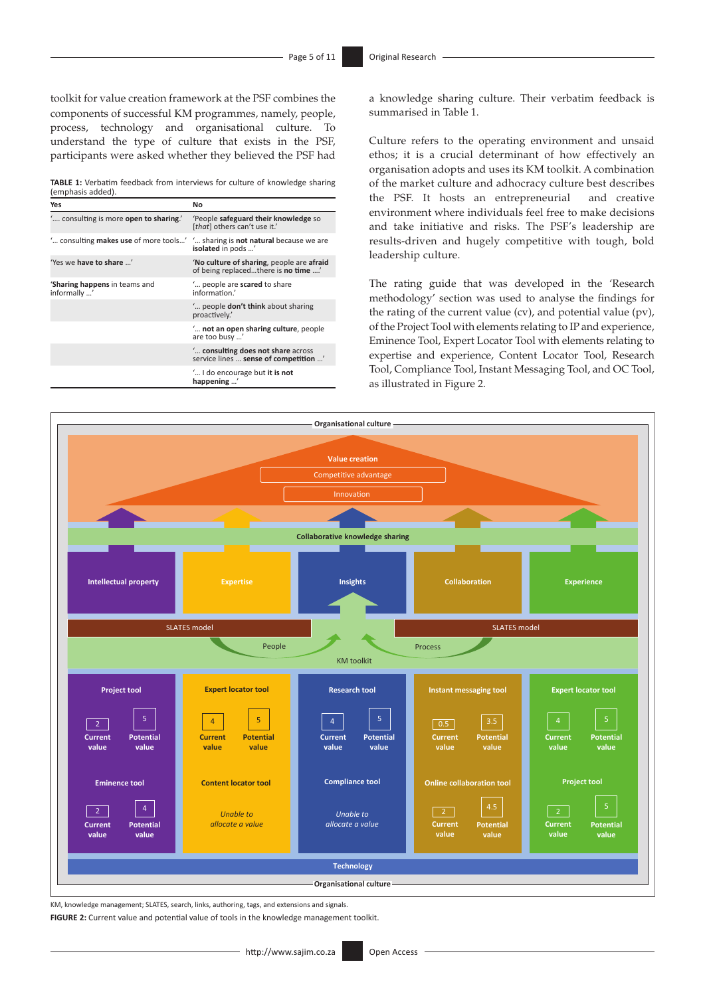toolkit for value creation framework at the PSF combines the components of successful KM programmes, namely, people, process, technology and organisational culture. To understand the type of culture that exists in the PSF, participants were asked whether they believed the PSF had

**TABLE 1:** Verbatim feedback from interviews for culture of knowledge sharing (emphasis added).

| Yes                                                                           | No                                                                               |
|-------------------------------------------------------------------------------|----------------------------------------------------------------------------------|
| " consulting is more open to sharing."                                        | 'People safeguard their knowledge so<br>[that] others can't use it.'             |
| " consulting makes use of more tools" " sharing is not natural because we are | isolated in pods '                                                               |
| 'Yes we have to share '                                                       | 'No culture of sharing, people are afraid<br>of being replacedthere is no time ' |
| 'Sharing happens in teams and<br>informally '                                 | " people are scared to share<br>information.                                     |
|                                                                               | " people <b>don't think</b> about sharing<br>proactively.'                       |
|                                                                               | " not an open sharing culture, people<br>are too busy '                          |
|                                                                               | " consulting does not share across<br>service lines  sense of competition '      |
|                                                                               | ' I do encourage but it is not<br>happening                                      |

a knowledge sharing culture. Their verbatim feedback is summarised in Table 1.

Culture refers to the operating environment and unsaid ethos; it is a crucial determinant of how effectively an organisation adopts and uses its KM toolkit. A combination of the market culture and adhocracy culture best describes the PSF. It hosts an entrepreneurial and creative environment where individuals feel free to make decisions and take initiative and risks. The PSF's leadership are results-driven and hugely competitive with tough, bold leadership culture.

The rating guide that was developed in the 'Research methodology' section was used to analyse the findings for the rating of the current value (cv), and potential value (pv), of the Project Tool with elements relating to IP and experience, Eminence Tool, Expert Locator Tool with elements relating to expertise and experience, Content Locator Tool, Research Tool, Compliance Tool, Instant Messaging Tool, and OC Tool, as illustrated in Figure 2.



KM, knowledge management; SLATES, search, links, authoring, tags, and extensions and signals.

**FIGURE 2:** Current value and potential value of tools in the knowledge management toolkit.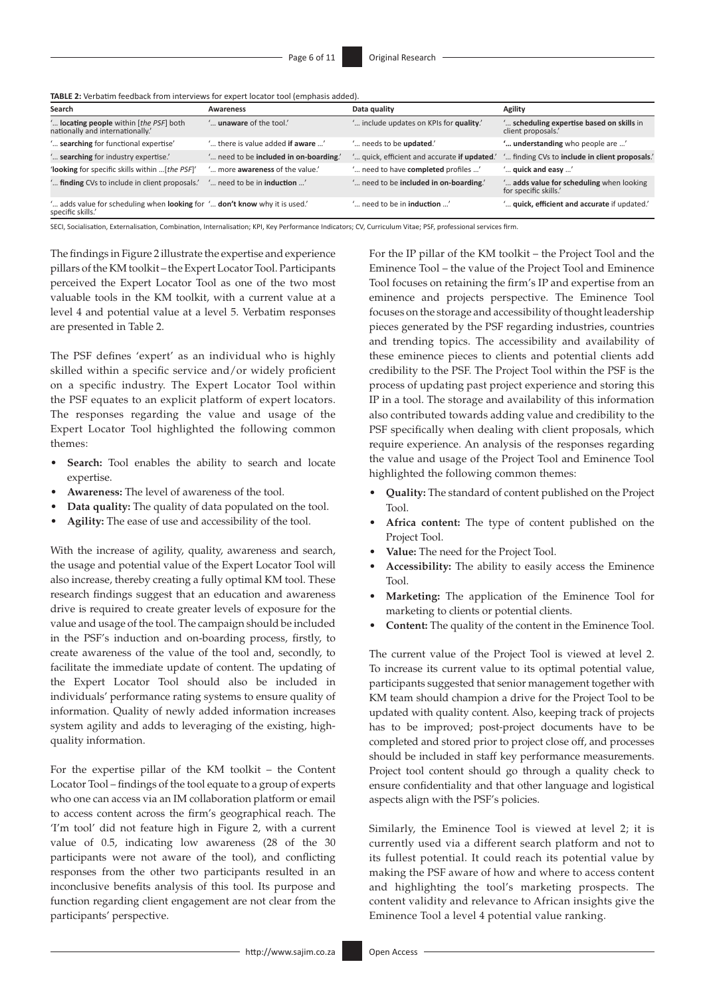| Search                                                                                          | Awareness                                | Data quality                                 | Agility                                                         |
|-------------------------------------------------------------------------------------------------|------------------------------------------|----------------------------------------------|-----------------------------------------------------------------|
| " locating people within [the PSF] both<br>nationally and internationally.'                     | ' <b>unaware</b> of the tool.'           | " include updates on KPIs for quality."      | " scheduling expertise based on skills in<br>client proposals.  |
| " searching for functional expertise"                                                           | ' there is value added <b>if aware</b> ' | ' needs to be <b>updated</b> .'              | ' understanding who people are '                                |
| " searching for industry expertise."                                                            | ' need to be included in on-boarding.'   | ' quick, efficient and accurate if updated.' | " finding CVs to include in client proposals."                  |
| 'looking for specific skills within  [the PSF]'                                                 | ' more awareness of the value.'          | ' need to have completed profiles '          | ' quick and easy '                                              |
| " finding CVs to include in client proposals."                                                  | ' need to be in <b>induction</b> '       | ' need to be included in on-boarding.'       | adds value for scheduling when looking<br>for specific skills.' |
| ' adds value for scheduling when looking for ' don't know why it is used.'<br>specific skills.' |                                          | ' need to be in <b>induction</b> '           | " quick, efficient and accurate if updated."                    |

**TABLE 2:** Verbatim feedback from interviews for expert locator tool (emphasis added).

SECI, Socialisation, Externalisation, Combination, Internalisation; KPI, Key Performance Indicators; CV, Curriculum Vitae; PSF, professional services firm.

The findings in Figure 2 illustrate the expertise and experience pillars of the KM toolkit – the Expert Locator Tool. Participants perceived the Expert Locator Tool as one of the two most valuable tools in the KM toolkit, with a current value at a level 4 and potential value at a level 5. Verbatim responses are presented in Table 2.

The PSF defines 'expert' as an individual who is highly skilled within a specific service and/or widely proficient on a specific industry. The Expert Locator Tool within the PSF equates to an explicit platform of expert locators. The responses regarding the value and usage of the Expert Locator Tool highlighted the following common themes:

- Search: Tool enables the ability to search and locate expertise.
- **Awareness:** The level of awareness of the tool.
- **Data quality:** The quality of data populated on the tool.
- **Agility:** The ease of use and accessibility of the tool.

With the increase of agility, quality, awareness and search, the usage and potential value of the Expert Locator Tool will also increase, thereby creating a fully optimal KM tool. These research findings suggest that an education and awareness drive is required to create greater levels of exposure for the value and usage of the tool. The campaign should be included in the PSF's induction and on-boarding process, firstly, to create awareness of the value of the tool and, secondly, to facilitate the immediate update of content. The updating of the Expert Locator Tool should also be included in individuals' performance rating systems to ensure quality of information. Quality of newly added information increases system agility and adds to leveraging of the existing, highquality information.

For the expertise pillar of the KM toolkit – the Content Locator Tool – findings of the tool equate to a group of experts who one can access via an IM collaboration platform or email to access content across the firm's geographical reach. The 'I'm tool' did not feature high in Figure 2, with a current value of 0.5, indicating low awareness (28 of the 30 participants were not aware of the tool), and conflicting responses from the other two participants resulted in an inconclusive benefits analysis of this tool. Its purpose and function regarding client engagement are not clear from the participants' perspective.

For the IP pillar of the KM toolkit – the Project Tool and the Eminence Tool – the value of the Project Tool and Eminence Tool focuses on retaining the firm's IP and expertise from an eminence and projects perspective. The Eminence Tool focuses on the storage and accessibility of thought leadership pieces generated by the PSF regarding industries, countries and trending topics. The accessibility and availability of these eminence pieces to clients and potential clients add credibility to the PSF. The Project Tool within the PSF is the process of updating past project experience and storing this IP in a tool. The storage and availability of this information also contributed towards adding value and credibility to the PSF specifically when dealing with client proposals, which require experience. An analysis of the responses regarding the value and usage of the Project Tool and Eminence Tool highlighted the following common themes:

- **Quality:** The standard of content published on the Project Tool.
- Africa content: The type of content published on the Project Tool.
- **Value:** The need for the Project Tool.
- **Accessibility:** The ability to easily access the Eminence Tool.
- **Marketing:** The application of the Eminence Tool for marketing to clients or potential clients.
- **Content:** The quality of the content in the Eminence Tool.

The current value of the Project Tool is viewed at level 2. To increase its current value to its optimal potential value, participants suggested that senior management together with KM team should champion a drive for the Project Tool to be updated with quality content. Also, keeping track of projects has to be improved; post-project documents have to be completed and stored prior to project close off, and processes should be included in staff key performance measurements. Project tool content should go through a quality check to ensure confidentiality and that other language and logistical aspects align with the PSF's policies.

Similarly, the Eminence Tool is viewed at level 2; it is currently used via a different search platform and not to its fullest potential. It could reach its potential value by making the PSF aware of how and where to access content and highlighting the tool's marketing prospects. The content validity and relevance to African insights give the Eminence Tool a level 4 potential value ranking.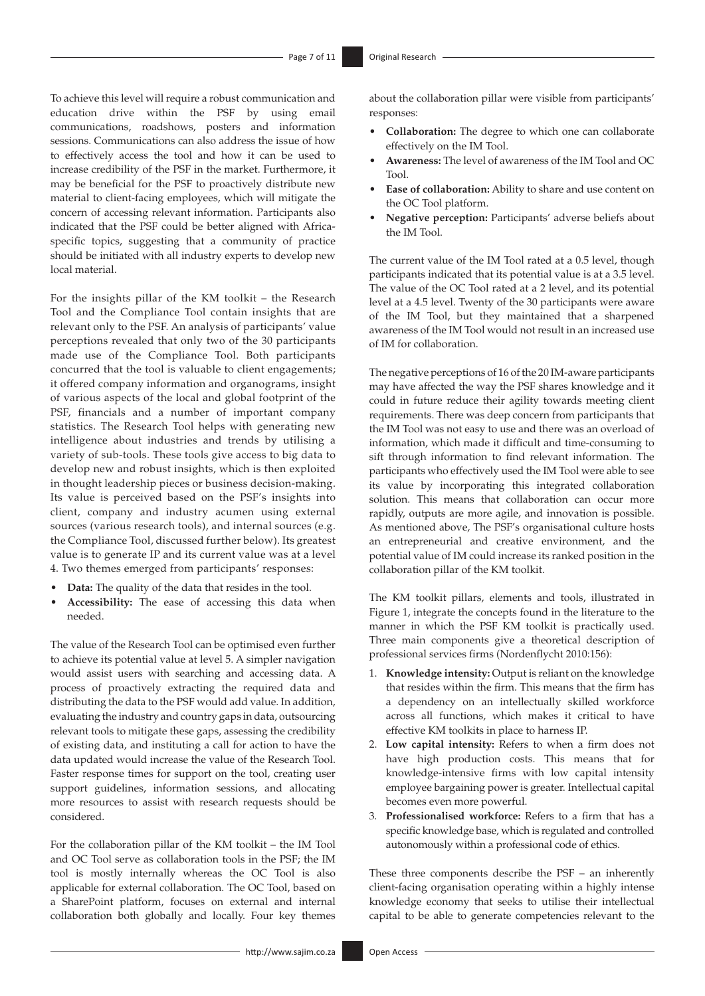To achieve this level will require a robust communication and education drive within the PSF by using email communications, roadshows, posters and information sessions. Communications can also address the issue of how to effectively access the tool and how it can be used to increase credibility of the PSF in the market. Furthermore, it may be beneficial for the PSF to proactively distribute new material to client-facing employees, which will mitigate the concern of accessing relevant information. Participants also indicated that the PSF could be better aligned with Africaspecific topics, suggesting that a community of practice should be initiated with all industry experts to develop new local material.

For the insights pillar of the KM toolkit – the Research Tool and the Compliance Tool contain insights that are relevant only to the PSF. An analysis of participants' value perceptions revealed that only two of the 30 participants made use of the Compliance Tool. Both participants concurred that the tool is valuable to client engagements; it offered company information and organograms, insight of various aspects of the local and global footprint of the PSF, financials and a number of important company statistics. The Research Tool helps with generating new intelligence about industries and trends by utilising a variety of sub-tools. These tools give access to big data to develop new and robust insights, which is then exploited in thought leadership pieces or business decision-making. Its value is perceived based on the PSF's insights into client, company and industry acumen using external sources (various research tools), and internal sources (e.g. the Compliance Tool, discussed further below). Its greatest value is to generate IP and its current value was at a level 4. Two themes emerged from participants' responses:

- **Data:** The quality of the data that resides in the tool.
- **Accessibility:** The ease of accessing this data when needed.

The value of the Research Tool can be optimised even further to achieve its potential value at level 5. A simpler navigation would assist users with searching and accessing data. A process of proactively extracting the required data and distributing the data to the PSF would add value. In addition, evaluating the industry and country gaps in data, outsourcing relevant tools to mitigate these gaps, assessing the credibility of existing data, and instituting a call for action to have the data updated would increase the value of the Research Tool. Faster response times for support on the tool, creating user support guidelines, information sessions, and allocating more resources to assist with research requests should be considered.

For the collaboration pillar of the KM toolkit – the IM Tool and OC Tool serve as collaboration tools in the PSF; the IM tool is mostly internally whereas the OC Tool is also applicable for external collaboration. The OC Tool, based on a SharePoint platform, focuses on external and internal collaboration both globally and locally. Four key themes

about the collaboration pillar were visible from participants' responses:

- **Collaboration:** The degree to which one can collaborate effectively on the IM Tool.
- **Awareness:** The level of awareness of the IM Tool and OC Tool.
- **Ease of collaboration:** Ability to share and use content on the OC Tool platform.
- **Negative perception:** Participants' adverse beliefs about the IM Tool.

The current value of the IM Tool rated at a 0.5 level, though participants indicated that its potential value is at a 3.5 level. The value of the OC Tool rated at a 2 level, and its potential level at a 4.5 level. Twenty of the 30 participants were aware of the IM Tool, but they maintained that a sharpened awareness of the IM Tool would not result in an increased use of IM for collaboration.

The negative perceptions of 16 of the 20 IM-aware participants may have affected the way the PSF shares knowledge and it could in future reduce their agility towards meeting client requirements. There was deep concern from participants that the IM Tool was not easy to use and there was an overload of information, which made it difficult and time-consuming to sift through information to find relevant information. The participants who effectively used the IM Tool were able to see its value by incorporating this integrated collaboration solution. This means that collaboration can occur more rapidly, outputs are more agile, and innovation is possible. As mentioned above, The PSF's organisational culture hosts an entrepreneurial and creative environment, and the potential value of IM could increase its ranked position in the collaboration pillar of the KM toolkit.

The KM toolkit pillars, elements and tools, illustrated in Figure 1, integrate the concepts found in the literature to the manner in which the PSF KM toolkit is practically used. Three main components give a theoretical description of professional services firms (Nordenflycht 2010:156):

- 1. **Knowledge intensity:** Output is reliant on the knowledge that resides within the firm. This means that the firm has a dependency on an intellectually skilled workforce across all functions, which makes it critical to have effective KM toolkits in place to harness IP.
- 2. **Low capital intensity:** Refers to when a firm does not have high production costs. This means that for knowledge-intensive firms with low capital intensity employee bargaining power is greater. Intellectual capital becomes even more powerful.
- 3. **Professionalised workforce:** Refers to a firm that has a specific knowledge base, which is regulated and controlled autonomously within a professional code of ethics.

These three components describe the PSF – an inherently client-facing organisation operating within a highly intense knowledge economy that seeks to utilise their intellectual capital to be able to generate competencies relevant to the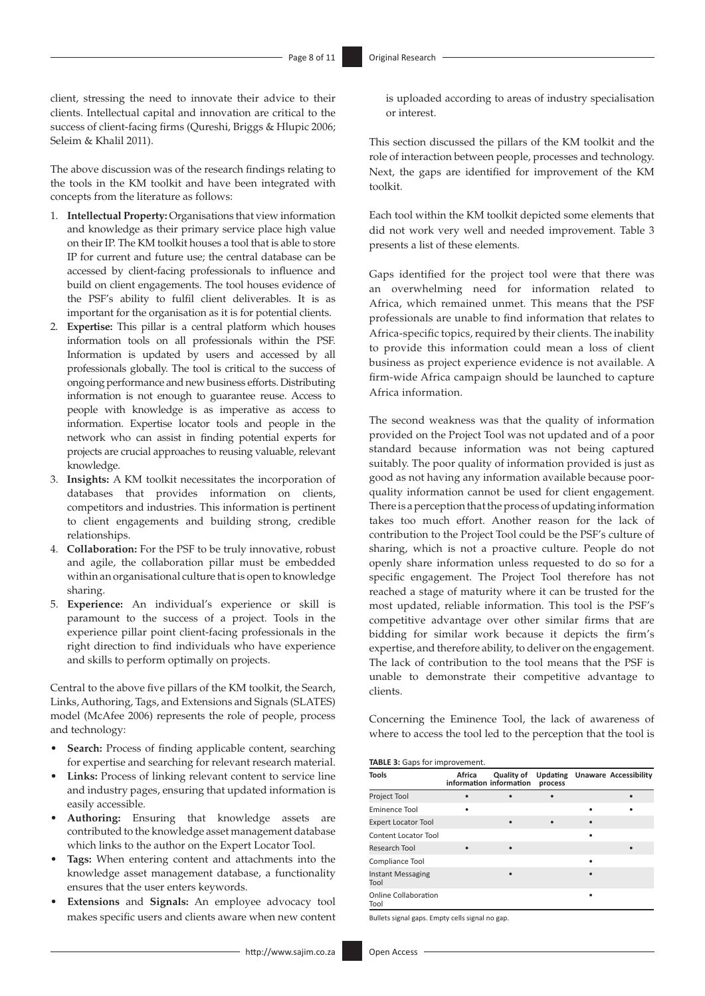client, stressing the need to innovate their advice to their clients. Intellectual capital and innovation are critical to the success of client-facing firms (Qureshi, Briggs & Hlupic 2006; Seleim & Khalil 2011).

The above discussion was of the research findings relating to the tools in the KM toolkit and have been integrated with concepts from the literature as follows:

- 1. **Intellectual Property:** Organisations that view information and knowledge as their primary service place high value on their IP. The KM toolkit houses a tool that is able to store IP for current and future use; the central database can be accessed by client-facing professionals to influence and build on client engagements. The tool houses evidence of the PSF's ability to fulfil client deliverables. It is as important for the organisation as it is for potential clients.
- 2. **Expertise:** This pillar is a central platform which houses information tools on all professionals within the PSF. Information is updated by users and accessed by all professionals globally. The tool is critical to the success of ongoing performance and new business efforts. Distributing information is not enough to guarantee reuse. Access to people with knowledge is as imperative as access to information. Expertise locator tools and people in the network who can assist in finding potential experts for projects are crucial approaches to reusing valuable, relevant knowledge.
- 3. **Insights:** A KM toolkit necessitates the incorporation of databases that provides information on clients, competitors and industries. This information is pertinent to client engagements and building strong, credible relationships.
- 4. **Collaboration:** For the PSF to be truly innovative, robust and agile, the collaboration pillar must be embedded within an organisational culture that is open to knowledge sharing.
- 5. **Experience:** An individual's experience or skill is paramount to the success of a project. Tools in the experience pillar point client-facing professionals in the right direction to find individuals who have experience and skills to perform optimally on projects.

Central to the above five pillars of the KM toolkit, the Search, Links, Authoring, Tags, and Extensions and Signals (SLATES) model (McAfee 2006) represents the role of people, process and technology:

- **Search:** Process of finding applicable content, searching for expertise and searching for relevant research material.
- Links: Process of linking relevant content to service line and industry pages, ensuring that updated information is easily accessible.
- **Authoring:** Ensuring that knowledge assets are contributed to the knowledge asset management database which links to the author on the Expert Locator Tool.
- **Tags:** When entering content and attachments into the knowledge asset management database, a functionality ensures that the user enters keywords.
- **Extensions** and **Signals:** An employee advocacy tool makes specific users and clients aware when new content

is uploaded according to areas of industry specialisation or interest.

This section discussed the pillars of the KM toolkit and the role of interaction between people, processes and technology. Next, the gaps are identified for improvement of the KM toolkit.

Each tool within the KM toolkit depicted some elements that did not work very well and needed improvement. Table 3 presents a list of these elements.

Gaps identified for the project tool were that there was an overwhelming need for information related to Africa, which remained unmet. This means that the PSF professionals are unable to find information that relates to Africa-specific topics, required by their clients. The inability to provide this information could mean a loss of client business as project experience evidence is not available. A firm-wide Africa campaign should be launched to capture Africa information.

The second weakness was that the quality of information provided on the Project Tool was not updated and of a poor standard because information was not being captured suitably. The poor quality of information provided is just as good as not having any information available because poorquality information cannot be used for client engagement. There is a perception that the process of updating information takes too much effort. Another reason for the lack of contribution to the Project Tool could be the PSF's culture of sharing, which is not a proactive culture. People do not openly share information unless requested to do so for a specific engagement. The Project Tool therefore has not reached a stage of maturity where it can be trusted for the most updated, reliable information. This tool is the PSF's competitive advantage over other similar firms that are bidding for similar work because it depicts the firm's expertise, and therefore ability, to deliver on the engagement. The lack of contribution to the tool means that the PSF is unable to demonstrate their competitive advantage to clients.

Concerning the Eminence Tool, the lack of awareness of where to access the tool led to the perception that the tool is

**TABLE 3:** Gaps for improvement.

| <b>Tools</b>                        | Africa | Quality of<br>information information | Updating<br>process | <b>Unaware Accessibility</b> |
|-------------------------------------|--------|---------------------------------------|---------------------|------------------------------|
| Project Tool                        |        |                                       |                     |                              |
| Eminence Tool                       |        |                                       |                     |                              |
| <b>Expert Locator Tool</b>          |        |                                       |                     |                              |
| Content Locator Tool                |        |                                       |                     |                              |
| Research Tool                       |        |                                       |                     |                              |
| Compliance Tool                     |        |                                       |                     |                              |
| <b>Instant Messaging</b><br>Tool    |        |                                       |                     |                              |
| <b>Online Collaboration</b><br>Tool |        |                                       |                     |                              |

Bullets signal gaps. Empty cells signal no gap.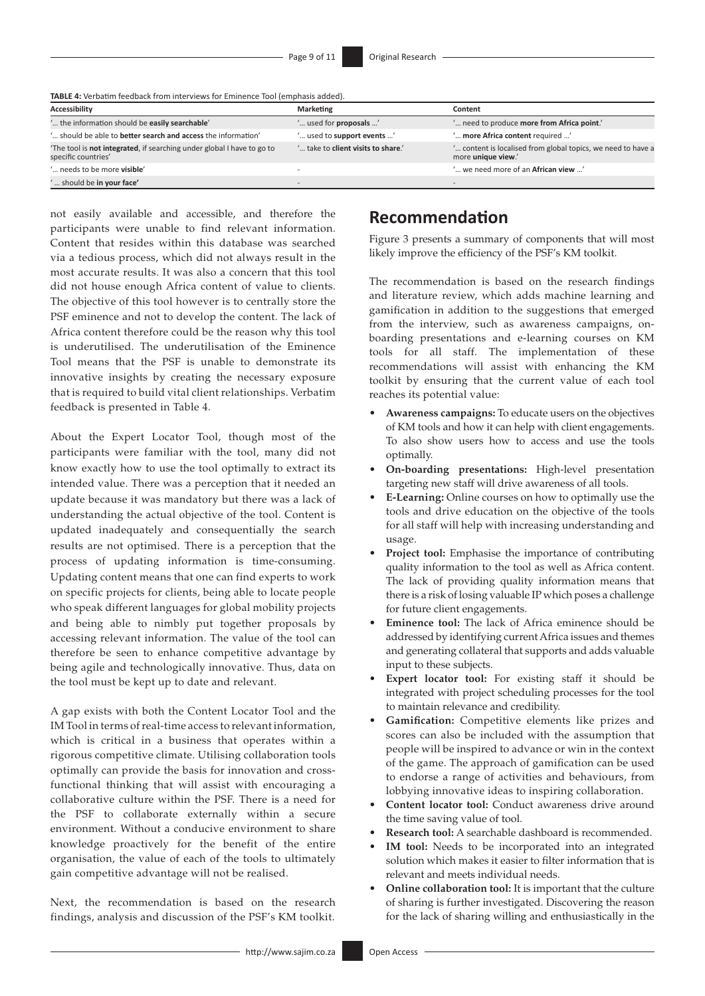**TABLE 4:** Verbatim feedback from interviews for Eminence Tool (emphasis added).

| Accessibility                                                                                | <b>Marketing</b>                   | Content                                                                            |
|----------------------------------------------------------------------------------------------|------------------------------------|------------------------------------------------------------------------------------|
| ' the information should be easily searchable'                                               | " used for <b>proposals</b> "      | " need to produce more from Africa point."                                         |
| ' should be able to <b>better search and access</b> the information'                         | ' used to support events '         | ' more Africa content required '                                                   |
| The tool is not integrated, if searching under global I have to go to<br>specific countries' | ' take to client visits to share.' | " content is localised from global topics, we need to have a<br>more unique view.' |
| ' needs to be more visible'                                                                  |                                    | ' we need more of an African view '                                                |
| should be in your face'                                                                      |                                    |                                                                                    |

not easily available and accessible, and therefore the participants were unable to find relevant information. Content that resides within this database was searched via a tedious process, which did not always result in the most accurate results. It was also a concern that this tool did not house enough Africa content of value to clients. The objective of this tool however is to centrally store the PSF eminence and not to develop the content. The lack of Africa content therefore could be the reason why this tool is underutilised. The underutilisation of the Eminence Tool means that the PSF is unable to demonstrate its innovative insights by creating the necessary exposure that is required to build vital client relationships. Verbatim feedback is presented in Table 4.

About the Expert Locator Tool, though most of the participants were familiar with the tool, many did not know exactly how to use the tool optimally to extract its intended value. There was a perception that it needed an update because it was mandatory but there was a lack of understanding the actual objective of the tool. Content is updated inadequately and consequentially the search results are not optimised. There is a perception that the process of updating information is time-consuming. Updating content means that one can find experts to work on specific projects for clients, being able to locate people who speak different languages for global mobility projects and being able to nimbly put together proposals by accessing relevant information. The value of the tool can therefore be seen to enhance competitive advantage by being agile and technologically innovative. Thus, data on the tool must be kept up to date and relevant.

A gap exists with both the Content Locator Tool and the IM Tool in terms of real-time access to relevant information, which is critical in a business that operates within a rigorous competitive climate. Utilising collaboration tools optimally can provide the basis for innovation and crossfunctional thinking that will assist with encouraging a collaborative culture within the PSF. There is a need for the PSF to collaborate externally within a secure environment. Without a conducive environment to share knowledge proactively for the benefit of the entire organisation, the value of each of the tools to ultimately gain competitive advantage will not be realised.

Next, the recommendation is based on the research findings, analysis and discussion of the PSF's KM toolkit.

# **Recommendation**

Figure 3 presents a summary of components that will most likely improve the efficiency of the PSF's KM toolkit.

The recommendation is based on the research findings and literature review, which adds machine learning and gamification in addition to the suggestions that emerged from the interview, such as awareness campaigns, onboarding presentations and e-learning courses on KM tools for all staff. The implementation of these recommendations will assist with enhancing the KM toolkit by ensuring that the current value of each tool reaches its potential value:

- **Awareness campaigns:** To educate users on the objectives of KM tools and how it can help with client engagements. To also show users how to access and use the tools optimally.
- **On-boarding presentations:** High-level presentation targeting new staff will drive awareness of all tools.
- **E-Learning:** Online courses on how to optimally use the tools and drive education on the objective of the tools for all staff will help with increasing understanding and usage.
- **Project tool:** Emphasise the importance of contributing quality information to the tool as well as Africa content. The lack of providing quality information means that there is a risk of losing valuable IP which poses a challenge for future client engagements.
- **Eminence tool:** The lack of Africa eminence should be addressed by identifying current Africa issues and themes and generating collateral that supports and adds valuable input to these subjects.
- Expert locator tool: For existing staff it should be integrated with project scheduling processes for the tool to maintain relevance and credibility.
- **Gamification:** Competitive elements like prizes and scores can also be included with the assumption that people will be inspired to advance or win in the context of the game. The approach of gamification can be used to endorse a range of activities and behaviours, from lobbying innovative ideas to inspiring collaboration.
- **Content locator tool:** Conduct awareness drive around the time saving value of tool.
- **Research tool:** A searchable dashboard is recommended.
- IM tool: Needs to be incorporated into an integrated solution which makes it easier to filter information that is relevant and meets individual needs.
- **Online collaboration tool:** It is important that the culture of sharing is further investigated. Discovering the reason for the lack of sharing willing and enthusiastically in the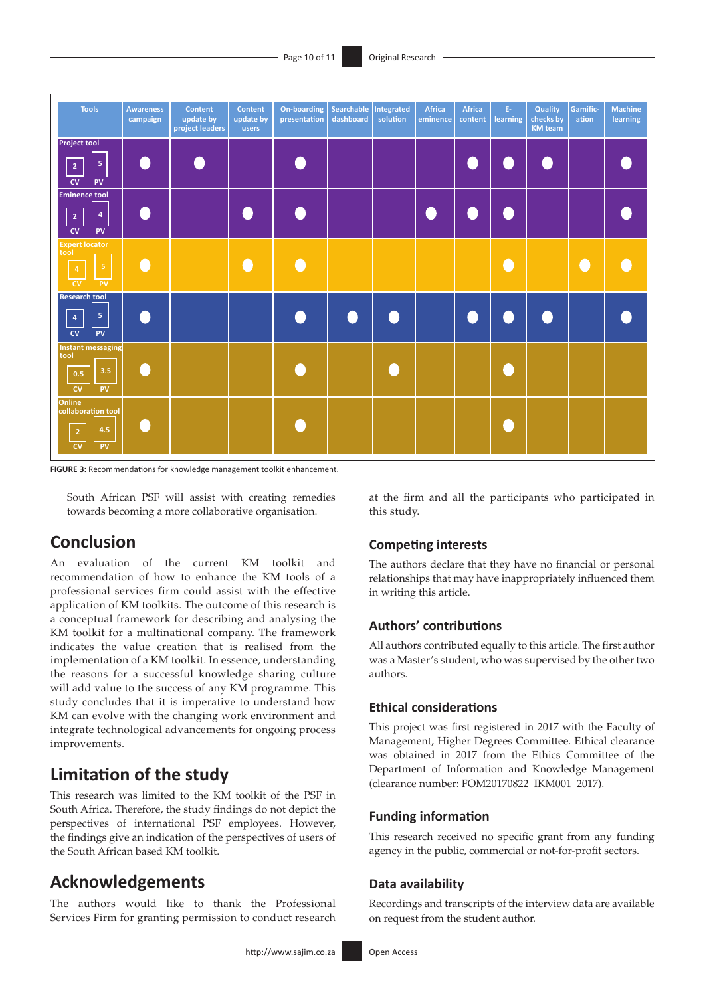

**FIGURE 3:** Recommendations for knowledge management toolkit enhancement.

South African PSF will assist with creating remedies towards becoming a more collaborative organisation.

# **Conclusion**

An evaluation of the current KM toolkit and recommendation of how to enhance the KM tools of a professional services firm could assist with the effective application of KM toolkits. The outcome of this research is a conceptual framework for describing and analysing the KM toolkit for a multinational company. The framework indicates the value creation that is realised from the implementation of a KM toolkit. In essence, understanding the reasons for a successful knowledge sharing culture will add value to the success of any KM programme. This study concludes that it is imperative to understand how KM can evolve with the changing work environment and integrate technological advancements for ongoing process improvements.

# **Limitation of the study**

This research was limited to the KM toolkit of the PSF in South Africa. Therefore, the study findings do not depict the perspectives of international PSF employees. However, the findings give an indication of the perspectives of users of the South African based KM toolkit.

# **Acknowledgements**

The authors would like to thank the Professional Services Firm for granting permission to conduct research at the firm and all the participants who participated in this study.

## **Competing interests**

The authors declare that they have no financial or personal relationships that may have inappropriately influenced them in writing this article.

## **Authors' contributions**

All authors contributed equally to this article. The first author was a Master's student, who was supervised by the other two authors.

## **Ethical considerations**

This project was first registered in 2017 with the Faculty of Management, Higher Degrees Committee. Ethical clearance was obtained in 2017 from the Ethics Committee of the Department of Information and Knowledge Management (clearance number: FOM20170822\_IKM001\_2017).

## **Funding information**

This research received no specific grant from any funding agency in the public, commercial or not-for-profit sectors.

#### **Data availability**

Recordings and transcripts of the interview data are available on request from the student author.